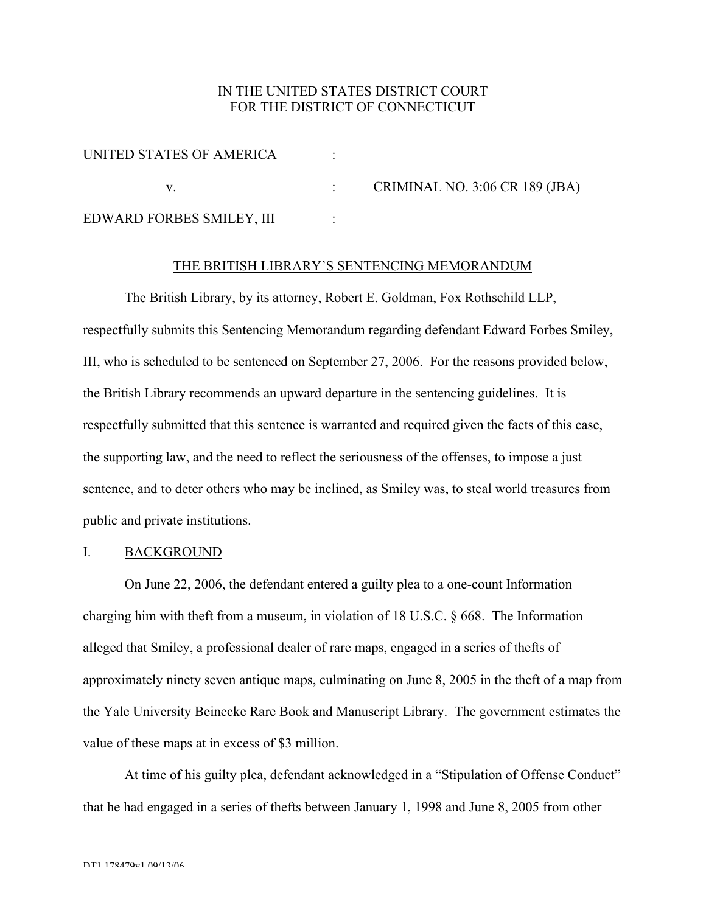# IN THE UNITED STATES DISTRICT COURT FOR THE DISTRICT OF CONNECTICUT

| UNITED STATES OF AMERICA  |                                       |
|---------------------------|---------------------------------------|
|                           | <b>CRIMINAL NO. 3:06 CR 189 (JBA)</b> |
| EDWARD FORBES SMILEY, III |                                       |

# THE BRITISH LIBRARY'S SENTENCING MEMORANDUM

The British Library, by its attorney, Robert E. Goldman, Fox Rothschild LLP, respectfully submits this Sentencing Memorandum regarding defendant Edward Forbes Smiley, III, who is scheduled to be sentenced on September 27, 2006. For the reasons provided below, the British Library recommends an upward departure in the sentencing guidelines. It is respectfully submitted that this sentence is warranted and required given the facts of this case, the supporting law, and the need to reflect the seriousness of the offenses, to impose a just sentence, and to deter others who may be inclined, as Smiley was, to steal world treasures from public and private institutions.

# I. BACKGROUND

On June 22, 2006, the defendant entered a guilty plea to a one-count Information charging him with theft from a museum, in violation of 18 U.S.C. § 668. The Information alleged that Smiley, a professional dealer of rare maps, engaged in a series of thefts of approximately ninety seven antique maps, culminating on June 8, 2005 in the theft of a map from the Yale University Beinecke Rare Book and Manuscript Library. The government estimates the value of these maps at in excess of \$3 million.

At time of his guilty plea, defendant acknowledged in a "Stipulation of Offense Conduct" that he had engaged in a series of thefts between January 1, 1998 and June 8, 2005 from other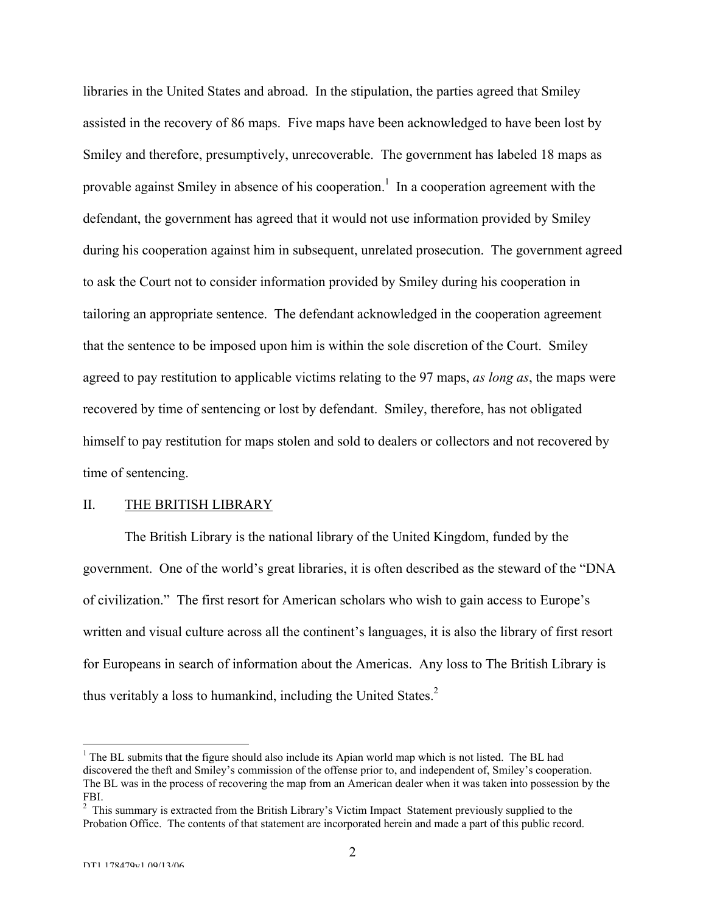libraries in the United States and abroad. In the stipulation, the parties agreed that Smiley assisted in the recovery of 86 maps. Five maps have been acknowledged to have been lost by Smiley and therefore, presumptively, unrecoverable. The government has labeled 18 maps as provable against Smiley in absence of his cooperation.<sup>1</sup> In a cooperation agreement with the defendant, the government has agreed that it would not use information provided by Smiley during his cooperation against him in subsequent, unrelated prosecution. The government agreed to ask the Court not to consider information provided by Smiley during his cooperation in tailoring an appropriate sentence. The defendant acknowledged in the cooperation agreement that the sentence to be imposed upon him is within the sole discretion of the Court. Smiley agreed to pay restitution to applicable victims relating to the 97 maps, *as long as*, the maps were recovered by time of sentencing or lost by defendant. Smiley, therefore, has not obligated himself to pay restitution for maps stolen and sold to dealers or collectors and not recovered by time of sentencing.

### II. THE BRITISH LIBRARY

The British Library is the national library of the United Kingdom, funded by the government. One of the world's great libraries, it is often described as the steward of the "DNA of civilization." The first resort for American scholars who wish to gain access to Europe's written and visual culture across all the continent's languages, it is also the library of first resort for Europeans in search of information about the Americas. Any loss to The British Library is thus veritably a loss to humankind, including the United States. $<sup>2</sup>$ </sup>

 $\frac{1}{1}$  $<sup>1</sup>$  The BL submits that the figure should also include its Apian world map which is not listed. The BL had</sup> discovered the theft and Smiley's commission of the offense prior to, and independent of, Smiley's cooperation. The BL was in the process of recovering the map from an American dealer when it was taken into possession by the FBI.

<sup>&</sup>lt;sup>2</sup> This summary is extracted from the British Library's Victim Impact Statement previously supplied to the Probation Office. The contents of that statement are incorporated herein and made a part of this public record.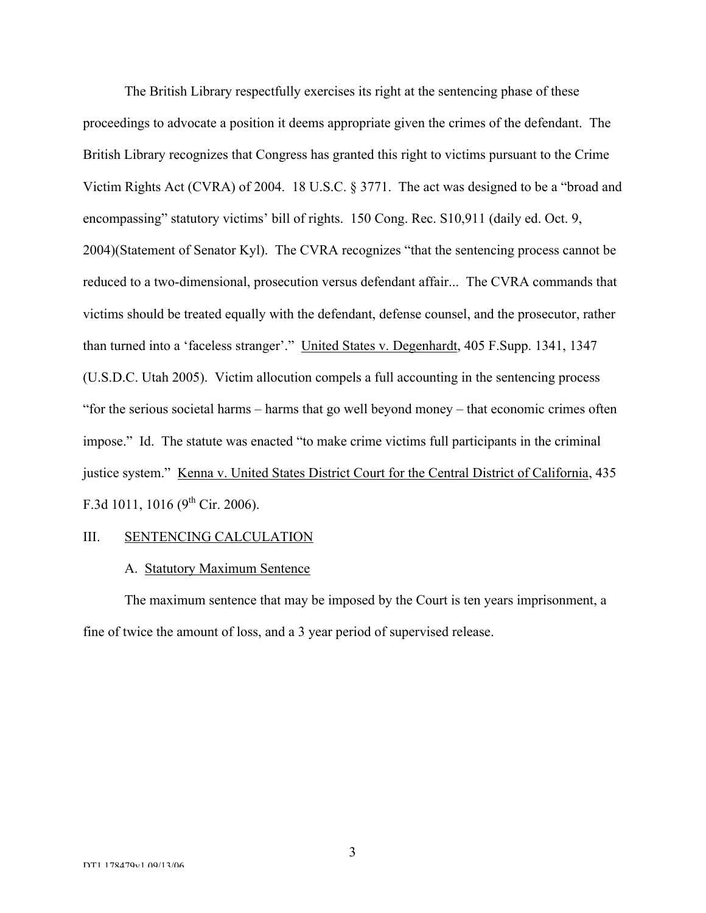The British Library respectfully exercises its right at the sentencing phase of these proceedings to advocate a position it deems appropriate given the crimes of the defendant. The British Library recognizes that Congress has granted this right to victims pursuant to the Crime Victim Rights Act (CVRA) of 2004. 18 U.S.C. § 3771. The act was designed to be a "broad and encompassing" statutory victims' bill of rights. 150 Cong. Rec. S10,911 (daily ed. Oct. 9, 2004)(Statement of Senator Kyl). The CVRA recognizes "that the sentencing process cannot be reduced to a two-dimensional, prosecution versus defendant affair... The CVRA commands that victims should be treated equally with the defendant, defense counsel, and the prosecutor, rather than turned into a 'faceless stranger'." United States v. Degenhardt, 405 F.Supp. 1341, 1347 (U.S.D.C. Utah 2005). Victim allocution compels a full accounting in the sentencing process "for the serious societal harms – harms that go well beyond money – that economic crimes often impose." Id. The statute was enacted "to make crime victims full participants in the criminal justice system." Kenna v. United States District Court for the Central District of California, 435 F.3d 1011, 1016 ( $9^{th}$  Cir. 2006).

# III. SENTENCING CALCULATION

#### A. Statutory Maximum Sentence

The maximum sentence that may be imposed by the Court is ten years imprisonment, a fine of twice the amount of loss, and a 3 year period of supervised release.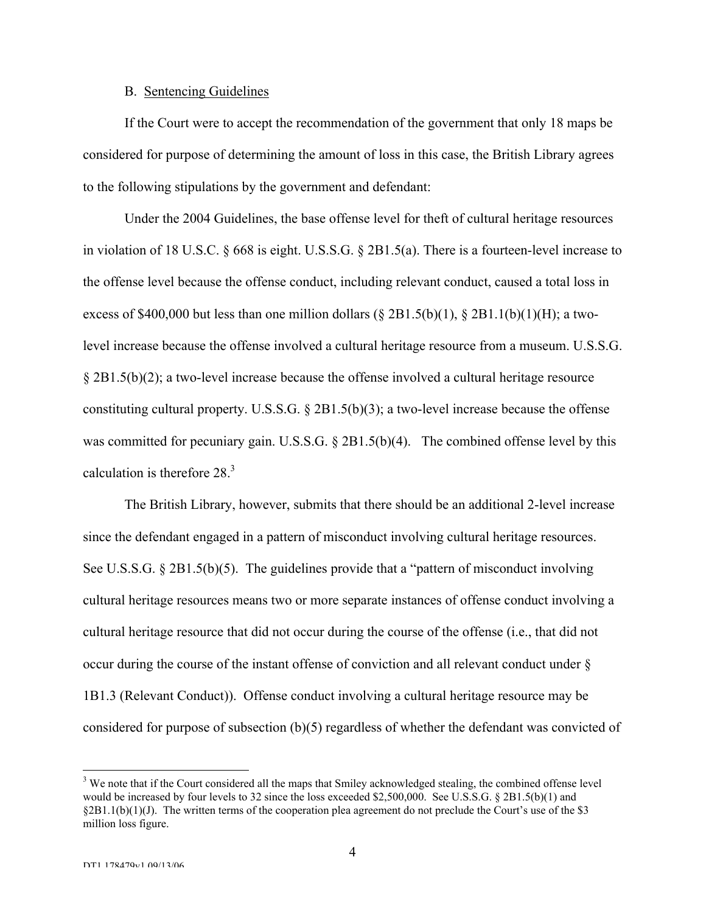### B. Sentencing Guidelines

If the Court were to accept the recommendation of the government that only 18 maps be considered for purpose of determining the amount of loss in this case, the British Library agrees to the following stipulations by the government and defendant:

Under the 2004 Guidelines, the base offense level for theft of cultural heritage resources in violation of 18 U.S.C. § 668 is eight. U.S.S.G. § 2B1.5(a). There is a fourteen-level increase to the offense level because the offense conduct, including relevant conduct, caused a total loss in excess of \$400,000 but less than one million dollars ( $\S 2B1.5(b)(1)$ ,  $\S 2B1.1(b)(1)(H)$ ; a twolevel increase because the offense involved a cultural heritage resource from a museum. U.S.S.G. § 2B1.5(b)(2); a two-level increase because the offense involved a cultural heritage resource constituting cultural property. U.S.S.G. § 2B1.5(b)(3); a two-level increase because the offense was committed for pecuniary gain. U.S.S.G. § 2B1.5(b)(4). The combined offense level by this calculation is therefore 28.3

The British Library, however, submits that there should be an additional 2-level increase since the defendant engaged in a pattern of misconduct involving cultural heritage resources. See U.S.S.G. § 2B1.5(b)(5). The guidelines provide that a "pattern of misconduct involving cultural heritage resources means two or more separate instances of offense conduct involving a cultural heritage resource that did not occur during the course of the offense (i.e., that did not occur during the course of the instant offense of conviction and all relevant conduct under § 1B1.3 (Relevant Conduct)). Offense conduct involving a cultural heritage resource may be considered for purpose of subsection (b)(5) regardless of whether the defendant was convicted of

<sup>&</sup>lt;sup>2</sup><br>3 <sup>3</sup> We note that if the Court considered all the maps that Smiley acknowledged stealing, the combined offense level would be increased by four levels to 32 since the loss exceeded \$2,500,000. See U.S.S.G. § 2B1.5(b)(1) and  $\S 2B1.1(b)(1)(J)$ . The written terms of the cooperation plea agreement do not preclude the Court's use of the \$3 million loss figure.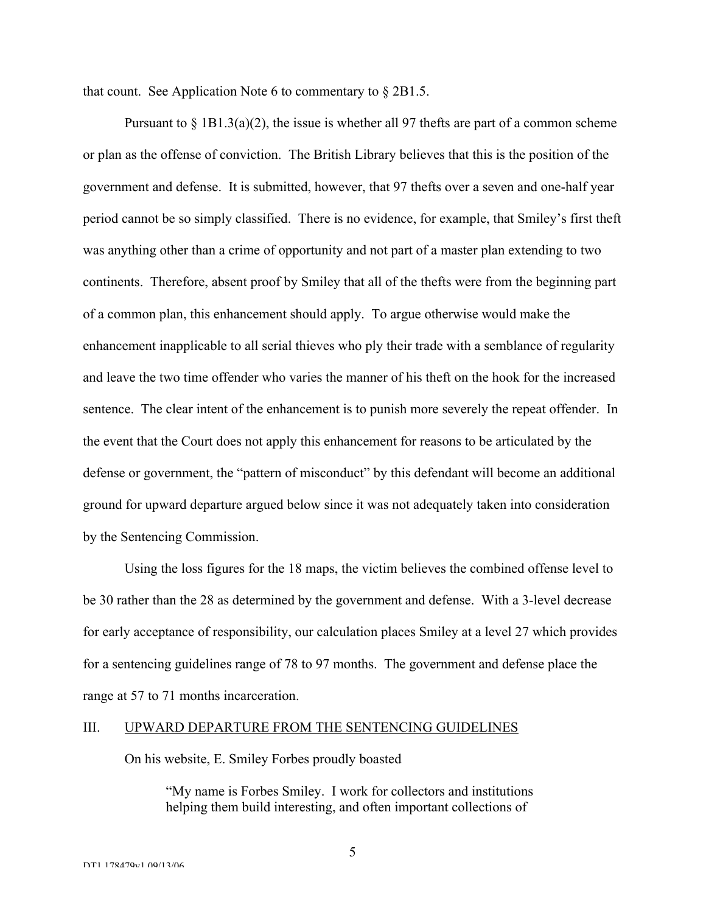that count. See Application Note 6 to commentary to § 2B1.5.

Pursuant to  $\S 1B1.3(a)(2)$ , the issue is whether all 97 thefts are part of a common scheme or plan as the offense of conviction. The British Library believes that this is the position of the government and defense. It is submitted, however, that 97 thefts over a seven and one-half year period cannot be so simply classified. There is no evidence, for example, that Smiley's first theft was anything other than a crime of opportunity and not part of a master plan extending to two continents. Therefore, absent proof by Smiley that all of the thefts were from the beginning part of a common plan, this enhancement should apply. To argue otherwise would make the enhancement inapplicable to all serial thieves who ply their trade with a semblance of regularity and leave the two time offender who varies the manner of his theft on the hook for the increased sentence. The clear intent of the enhancement is to punish more severely the repeat offender. In the event that the Court does not apply this enhancement for reasons to be articulated by the defense or government, the "pattern of misconduct" by this defendant will become an additional ground for upward departure argued below since it was not adequately taken into consideration by the Sentencing Commission.

Using the loss figures for the 18 maps, the victim believes the combined offense level to be 30 rather than the 28 as determined by the government and defense. With a 3-level decrease for early acceptance of responsibility, our calculation places Smiley at a level 27 which provides for a sentencing guidelines range of 78 to 97 months. The government and defense place the range at 57 to 71 months incarceration.

#### III. UPWARD DEPARTURE FROM THE SENTENCING GUIDELINES

On his website, E. Smiley Forbes proudly boasted

"My name is Forbes Smiley. I work for collectors and institutions helping them build interesting, and often important collections of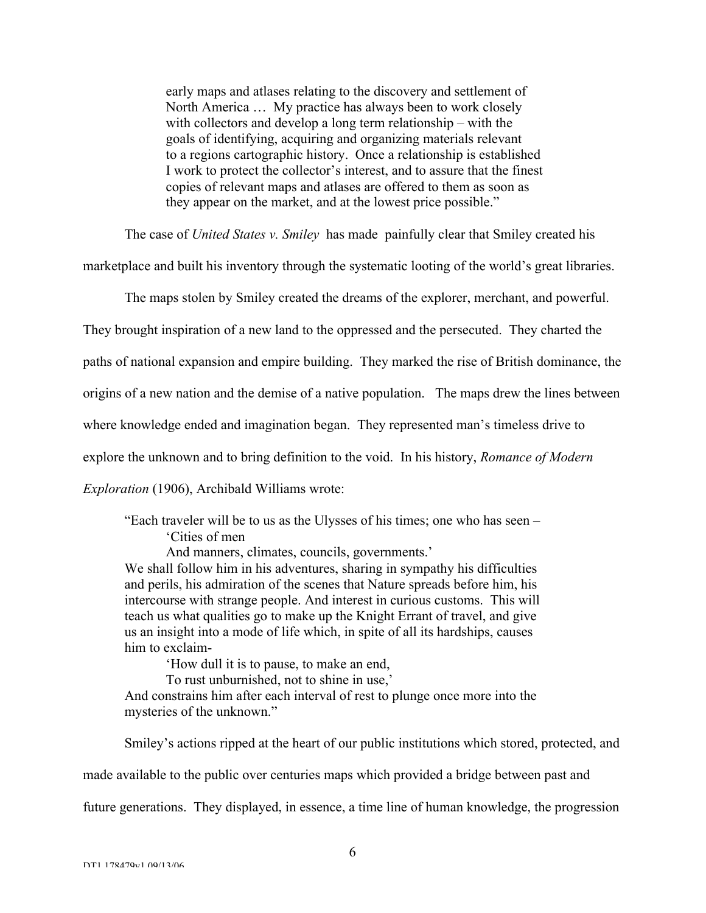early maps and atlases relating to the discovery and settlement of North America … My practice has always been to work closely with collectors and develop a long term relationship – with the goals of identifying, acquiring and organizing materials relevant to a regions cartographic history. Once a relationship is established I work to protect the collector's interest, and to assure that the finest copies of relevant maps and atlases are offered to them as soon as they appear on the market, and at the lowest price possible."

The case of *United States v. Smiley* has made painfully clear that Smiley created his

marketplace and built his inventory through the systematic looting of the world's great libraries.

The maps stolen by Smiley created the dreams of the explorer, merchant, and powerful.

They brought inspiration of a new land to the oppressed and the persecuted. They charted the

paths of national expansion and empire building. They marked the rise of British dominance, the

origins of a new nation and the demise of a native population. The maps drew the lines between

where knowledge ended and imagination began. They represented man's timeless drive to

explore the unknown and to bring definition to the void. In his history, *Romance of Modern*

*Exploration* (1906), Archibald Williams wrote:

"Each traveler will be to us as the Ulysses of his times; one who has seen – 'Cities of men

And manners, climates, councils, governments.'

We shall follow him in his adventures, sharing in sympathy his difficulties and perils, his admiration of the scenes that Nature spreads before him, his intercourse with strange people. And interest in curious customs. This will teach us what qualities go to make up the Knight Errant of travel, and give us an insight into a mode of life which, in spite of all its hardships, causes him to exclaim-

'How dull it is to pause, to make an end, To rust unburnished, not to shine in use,'

And constrains him after each interval of rest to plunge once more into the mysteries of the unknown."

Smiley's actions ripped at the heart of our public institutions which stored, protected, and

made available to the public over centuries maps which provided a bridge between past and

future generations. They displayed, in essence, a time line of human knowledge, the progression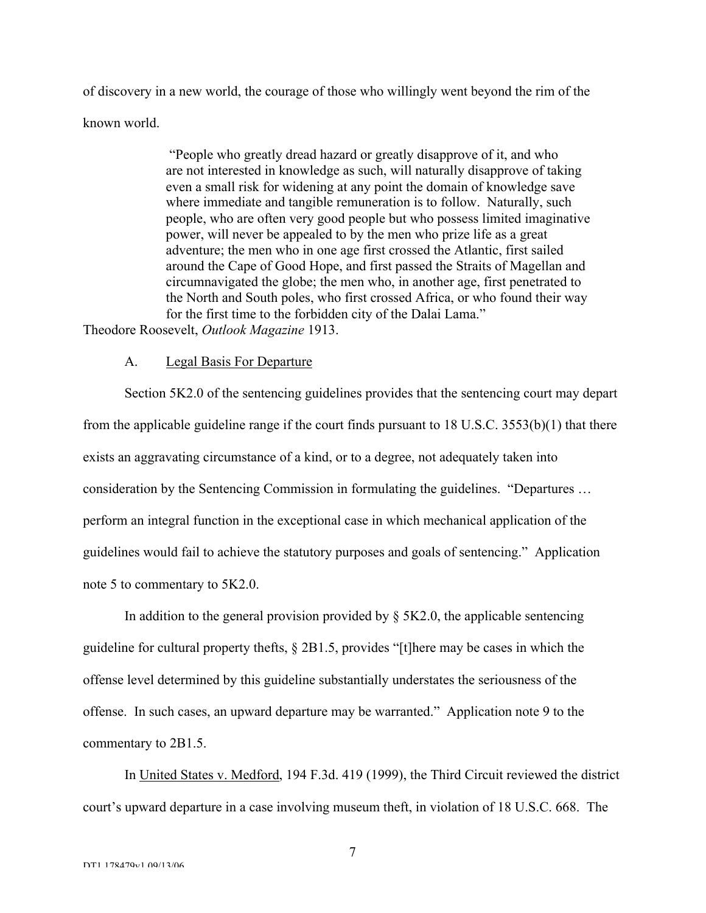of discovery in a new world, the courage of those who willingly went beyond the rim of the known world.

> "People who greatly dread hazard or greatly disapprove of it, and who are not interested in knowledge as such, will naturally disapprove of taking even a small risk for widening at any point the domain of knowledge save where immediate and tangible remuneration is to follow. Naturally, such people, who are often very good people but who possess limited imaginative power, will never be appealed to by the men who prize life as a great adventure; the men who in one age first crossed the Atlantic, first sailed around the Cape of Good Hope, and first passed the Straits of Magellan and circumnavigated the globe; the men who, in another age, first penetrated to the North and South poles, who first crossed Africa, or who found their way for the first time to the forbidden city of the Dalai Lama."

Theodore Roosevelt, *Outlook Magazine* 1913.

# A. Legal Basis For Departure

Section 5K2.0 of the sentencing guidelines provides that the sentencing court may depart from the applicable guideline range if the court finds pursuant to 18 U.S.C. 3553(b)(1) that there exists an aggravating circumstance of a kind, or to a degree, not adequately taken into consideration by the Sentencing Commission in formulating the guidelines. "Departures … perform an integral function in the exceptional case in which mechanical application of the guidelines would fail to achieve the statutory purposes and goals of sentencing." Application note 5 to commentary to 5K2.0.

In addition to the general provision provided by  $\S$  5K2.0, the applicable sentencing guideline for cultural property thefts, § 2B1.5, provides "[t]here may be cases in which the offense level determined by this guideline substantially understates the seriousness of the offense. In such cases, an upward departure may be warranted." Application note 9 to the commentary to 2B1.5.

In United States v. Medford, 194 F.3d. 419 (1999), the Third Circuit reviewed the district court's upward departure in a case involving museum theft, in violation of 18 U.S.C. 668. The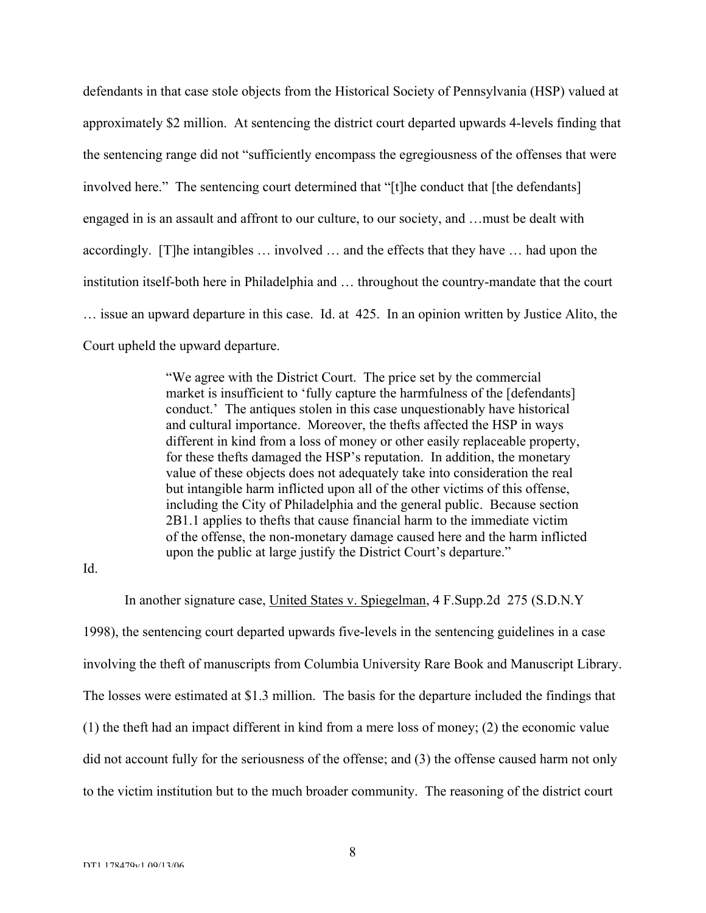defendants in that case stole objects from the Historical Society of Pennsylvania (HSP) valued at approximately \$2 million. At sentencing the district court departed upwards 4-levels finding that the sentencing range did not "sufficiently encompass the egregiousness of the offenses that were involved here." The sentencing court determined that "[t]he conduct that [the defendants] engaged in is an assault and affront to our culture, to our society, and …must be dealt with accordingly. [T]he intangibles … involved … and the effects that they have … had upon the institution itself-both here in Philadelphia and … throughout the country-mandate that the court … issue an upward departure in this case. Id. at 425. In an opinion written by Justice Alito, the Court upheld the upward departure.

> "We agree with the District Court. The price set by the commercial market is insufficient to 'fully capture the harmfulness of the [defendants] conduct.' The antiques stolen in this case unquestionably have historical and cultural importance. Moreover, the thefts affected the HSP in ways different in kind from a loss of money or other easily replaceable property, for these thefts damaged the HSP's reputation. In addition, the monetary value of these objects does not adequately take into consideration the real but intangible harm inflicted upon all of the other victims of this offense, including the City of Philadelphia and the general public. Because section 2B1.1 applies to thefts that cause financial harm to the immediate victim of the offense, the non-monetary damage caused here and the harm inflicted upon the public at large justify the District Court's departure."

Id.

In another signature case, United States v. Spiegelman, 4 F.Supp.2d 275 (S.D.N.Y 1998), the sentencing court departed upwards five-levels in the sentencing guidelines in a case involving the theft of manuscripts from Columbia University Rare Book and Manuscript Library. The losses were estimated at \$1.3 million. The basis for the departure included the findings that (1) the theft had an impact different in kind from a mere loss of money; (2) the economic value did not account fully for the seriousness of the offense; and (3) the offense caused harm not only to the victim institution but to the much broader community. The reasoning of the district court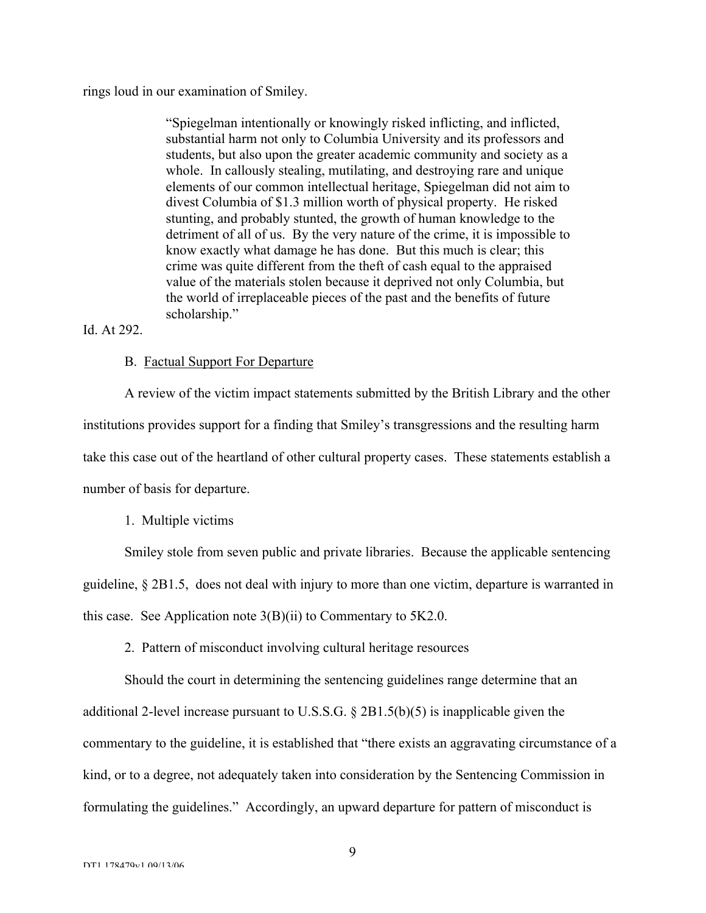rings loud in our examination of Smiley.

"Spiegelman intentionally or knowingly risked inflicting, and inflicted, substantial harm not only to Columbia University and its professors and students, but also upon the greater academic community and society as a whole. In callously stealing, mutilating, and destroying rare and unique elements of our common intellectual heritage, Spiegelman did not aim to divest Columbia of \$1.3 million worth of physical property. He risked stunting, and probably stunted, the growth of human knowledge to the detriment of all of us. By the very nature of the crime, it is impossible to know exactly what damage he has done. But this much is clear; this crime was quite different from the theft of cash equal to the appraised value of the materials stolen because it deprived not only Columbia, but the world of irreplaceable pieces of the past and the benefits of future scholarship."

Id. At 292.

### B. Factual Support For Departure

A review of the victim impact statements submitted by the British Library and the other institutions provides support for a finding that Smiley's transgressions and the resulting harm take this case out of the heartland of other cultural property cases. These statements establish a number of basis for departure.

#### 1. Multiple victims

Smiley stole from seven public and private libraries. Because the applicable sentencing guideline, § 2B1.5, does not deal with injury to more than one victim, departure is warranted in this case. See Application note  $3(B)(ii)$  to Commentary to  $5K2.0$ .

2. Pattern of misconduct involving cultural heritage resources

Should the court in determining the sentencing guidelines range determine that an additional 2-level increase pursuant to U.S.S.G. § 2B1.5(b)(5) is inapplicable given the commentary to the guideline, it is established that "there exists an aggravating circumstance of a kind, or to a degree, not adequately taken into consideration by the Sentencing Commission in formulating the guidelines." Accordingly, an upward departure for pattern of misconduct is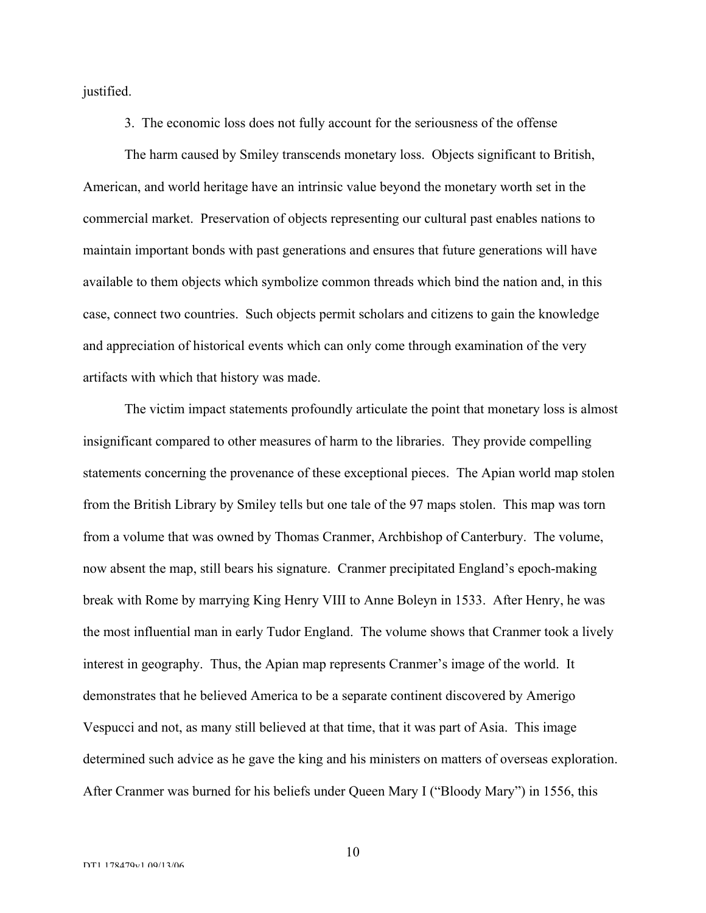justified.

3. The economic loss does not fully account for the seriousness of the offense

The harm caused by Smiley transcends monetary loss. Objects significant to British, American, and world heritage have an intrinsic value beyond the monetary worth set in the commercial market. Preservation of objects representing our cultural past enables nations to maintain important bonds with past generations and ensures that future generations will have available to them objects which symbolize common threads which bind the nation and, in this case, connect two countries. Such objects permit scholars and citizens to gain the knowledge and appreciation of historical events which can only come through examination of the very artifacts with which that history was made.

The victim impact statements profoundly articulate the point that monetary loss is almost insignificant compared to other measures of harm to the libraries. They provide compelling statements concerning the provenance of these exceptional pieces. The Apian world map stolen from the British Library by Smiley tells but one tale of the 97 maps stolen. This map was torn from a volume that was owned by Thomas Cranmer, Archbishop of Canterbury. The volume, now absent the map, still bears his signature. Cranmer precipitated England's epoch-making break with Rome by marrying King Henry VIII to Anne Boleyn in 1533. After Henry, he was the most influential man in early Tudor England. The volume shows that Cranmer took a lively interest in geography. Thus, the Apian map represents Cranmer's image of the world. It demonstrates that he believed America to be a separate continent discovered by Amerigo Vespucci and not, as many still believed at that time, that it was part of Asia. This image determined such advice as he gave the king and his ministers on matters of overseas exploration. After Cranmer was burned for his beliefs under Queen Mary I ("Bloody Mary") in 1556, this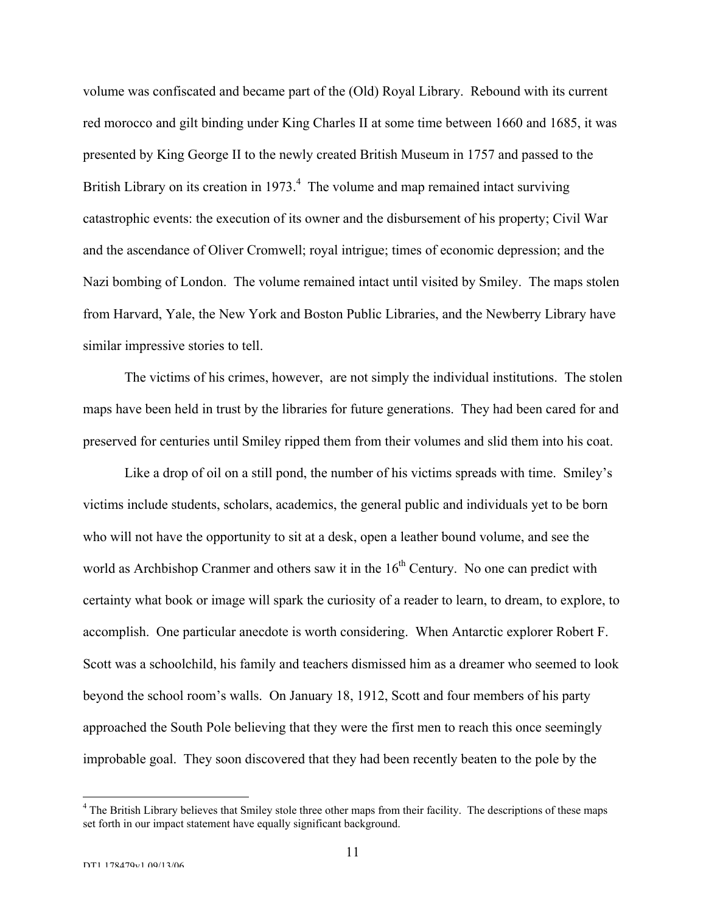volume was confiscated and became part of the (Old) Royal Library. Rebound with its current red morocco and gilt binding under King Charles II at some time between 1660 and 1685, it was presented by King George II to the newly created British Museum in 1757 and passed to the British Library on its creation in  $1973<sup>4</sup>$ . The volume and map remained intact surviving catastrophic events: the execution of its owner and the disbursement of his property; Civil War and the ascendance of Oliver Cromwell; royal intrigue; times of economic depression; and the Nazi bombing of London. The volume remained intact until visited by Smiley. The maps stolen from Harvard, Yale, the New York and Boston Public Libraries, and the Newberry Library have similar impressive stories to tell.

The victims of his crimes, however, are not simply the individual institutions. The stolen maps have been held in trust by the libraries for future generations. They had been cared for and preserved for centuries until Smiley ripped them from their volumes and slid them into his coat.

Like a drop of oil on a still pond, the number of his victims spreads with time. Smiley's victims include students, scholars, academics, the general public and individuals yet to be born who will not have the opportunity to sit at a desk, open a leather bound volume, and see the world as Archbishop Cranmer and others saw it in the  $16<sup>th</sup>$  Century. No one can predict with certainty what book or image will spark the curiosity of a reader to learn, to dream, to explore, to accomplish. One particular anecdote is worth considering. When Antarctic explorer Robert F. Scott was a schoolchild, his family and teachers dismissed him as a dreamer who seemed to look beyond the school room's walls. On January 18, 1912, Scott and four members of his party approached the South Pole believing that they were the first men to reach this once seemingly improbable goal. They soon discovered that they had been recently beaten to the pole by the

 $\frac{1}{4}$ <sup>4</sup> The British Library believes that Smiley stole three other maps from their facility. The descriptions of these maps set forth in our impact statement have equally significant background.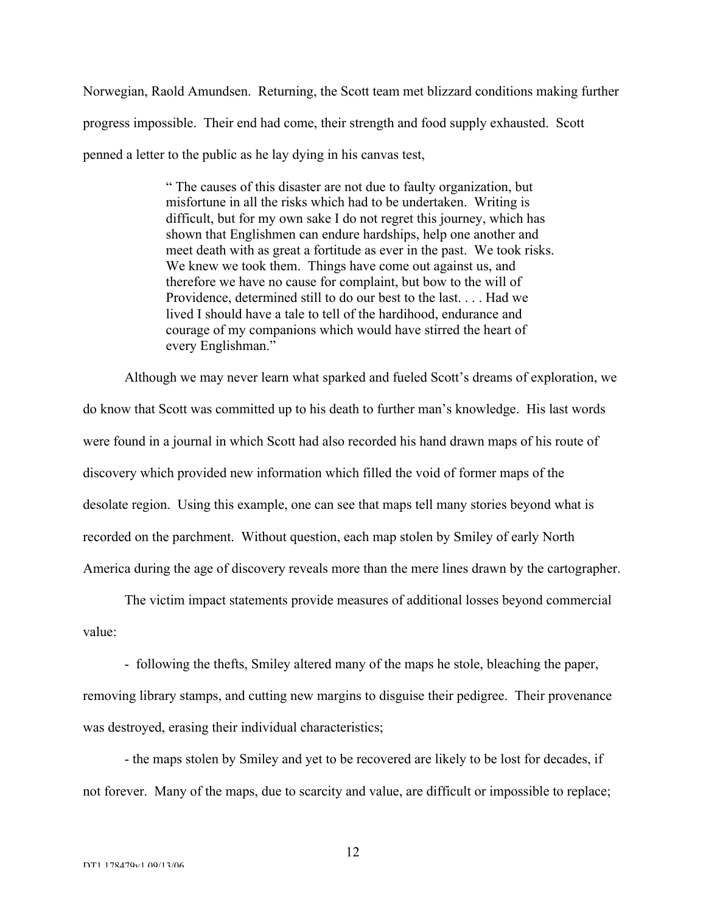Norwegian, Raold Amundsen. Returning, the Scott team met blizzard conditions making further progress impossible. Their end had come, their strength and food supply exhausted. Scott penned a letter to the public as he lay dying in his canvas test,

> " The causes of this disaster are not due to faulty organization, but misfortune in all the risks which had to be undertaken. Writing is difficult, but for my own sake I do not regret this journey, which has shown that Englishmen can endure hardships, help one another and meet death with as great a fortitude as ever in the past. We took risks. We knew we took them. Things have come out against us, and therefore we have no cause for complaint, but bow to the will of Providence, determined still to do our best to the last. . . . Had we lived I should have a tale to tell of the hardihood, endurance and courage of my companions which would have stirred the heart of every Englishman."

Although we may never learn what sparked and fueled Scott's dreams of exploration, we do know that Scott was committed up to his death to further man's knowledge. His last words were found in a journal in which Scott had also recorded his hand drawn maps of his route of discovery which provided new information which filled the void of former maps of the desolate region. Using this example, one can see that maps tell many stories beyond what is recorded on the parchment. Without question, each map stolen by Smiley of early North America during the age of discovery reveals more than the mere lines drawn by the cartographer.

The victim impact statements provide measures of additional losses beyond commercial value:

- following the thefts, Smiley altered many of the maps he stole, bleaching the paper, removing library stamps, and cutting new margins to disguise their pedigree. Their provenance was destroyed, erasing their individual characteristics;

- the maps stolen by Smiley and yet to be recovered are likely to be lost for decades, if not forever. Many of the maps, due to scarcity and value, are difficult or impossible to replace;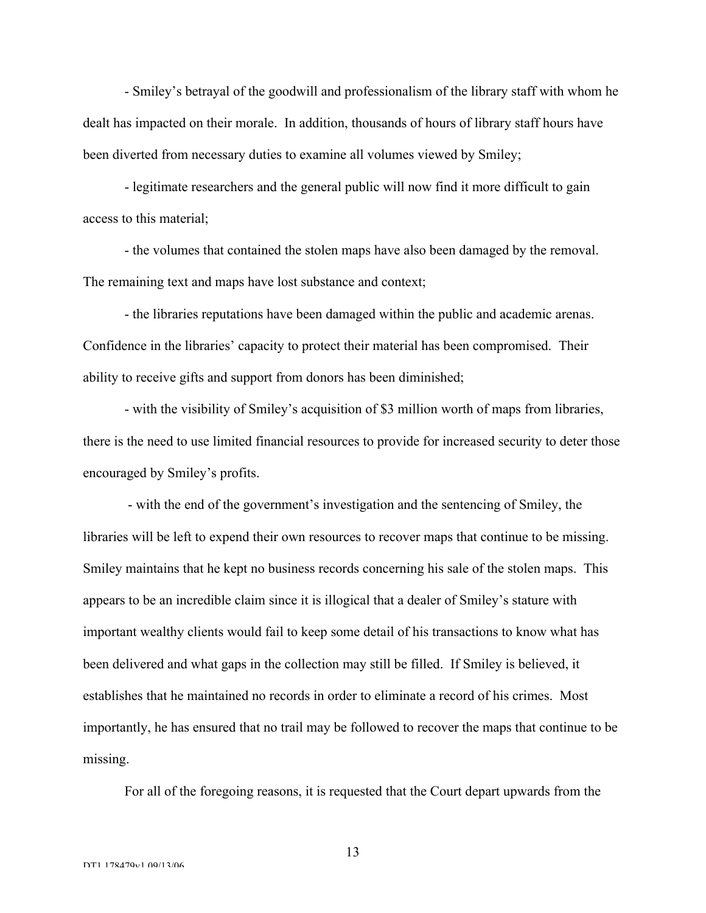- Smiley's betrayal of the goodwill and professionalism of the library staff with whom he dealt has impacted on their morale. In addition, thousands of hours of library staff hours have been diverted from necessary duties to examine all volumes viewed by Smiley;

- legitimate researchers and the general public will now find it more difficult to gain access to this material;

- the volumes that contained the stolen maps have also been damaged by the removal. The remaining text and maps have lost substance and context;

- the libraries reputations have been damaged within the public and academic arenas. Confidence in the libraries' capacity to protect their material has been compromised. Their ability to receive gifts and support from donors has been diminished;

- with the visibility of Smiley's acquisition of \$3 million worth of maps from libraries, there is the need to use limited financial resources to provide for increased security to deter those encouraged by Smiley's profits.

 - with the end of the government's investigation and the sentencing of Smiley, the libraries will be left to expend their own resources to recover maps that continue to be missing. Smiley maintains that he kept no business records concerning his sale of the stolen maps. This appears to be an incredible claim since it is illogical that a dealer of Smiley's stature with important wealthy clients would fail to keep some detail of his transactions to know what has been delivered and what gaps in the collection may still be filled. If Smiley is believed, it establishes that he maintained no records in order to eliminate a record of his crimes. Most importantly, he has ensured that no trail may be followed to recover the maps that continue to be missing.

For all of the foregoing reasons, it is requested that the Court depart upwards from the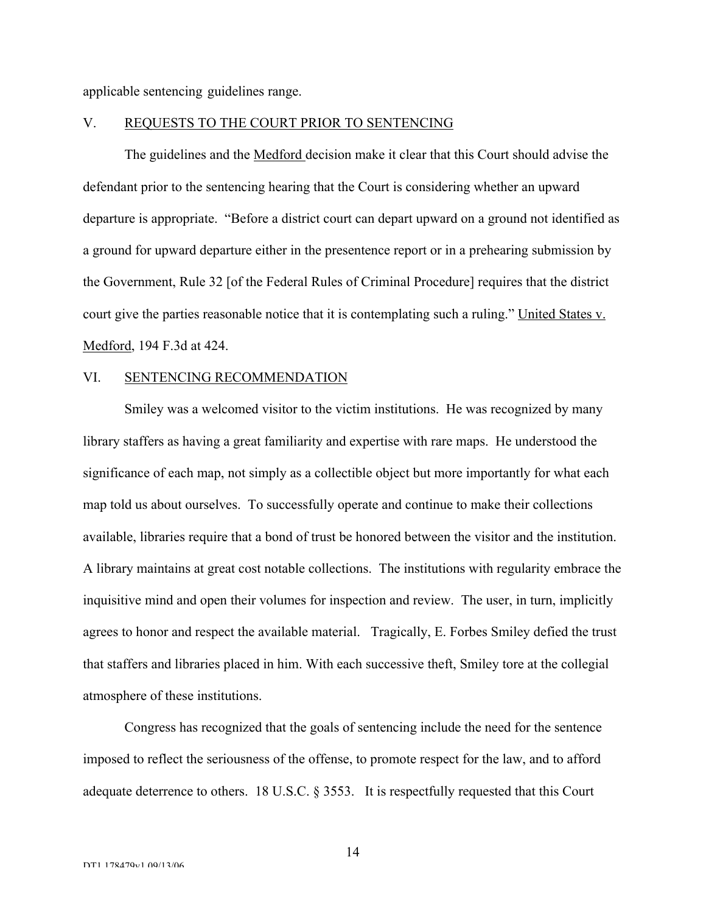applicable sentencing guidelines range.

# V. REQUESTS TO THE COURT PRIOR TO SENTENCING

The guidelines and the Medford decision make it clear that this Court should advise the defendant prior to the sentencing hearing that the Court is considering whether an upward departure is appropriate. "Before a district court can depart upward on a ground not identified as a ground for upward departure either in the presentence report or in a prehearing submission by the Government, Rule 32 [of the Federal Rules of Criminal Procedure] requires that the district court give the parties reasonable notice that it is contemplating such a ruling." United States v. Medford, 194 F.3d at 424.

#### VI. SENTENCING RECOMMENDATION

Smiley was a welcomed visitor to the victim institutions. He was recognized by many library staffers as having a great familiarity and expertise with rare maps. He understood the significance of each map, not simply as a collectible object but more importantly for what each map told us about ourselves. To successfully operate and continue to make their collections available, libraries require that a bond of trust be honored between the visitor and the institution. A library maintains at great cost notable collections. The institutions with regularity embrace the inquisitive mind and open their volumes for inspection and review. The user, in turn, implicitly agrees to honor and respect the available material. Tragically, E. Forbes Smiley defied the trust that staffers and libraries placed in him. With each successive theft, Smiley tore at the collegial atmosphere of these institutions.

Congress has recognized that the goals of sentencing include the need for the sentence imposed to reflect the seriousness of the offense, to promote respect for the law, and to afford adequate deterrence to others. 18 U.S.C. § 3553. It is respectfully requested that this Court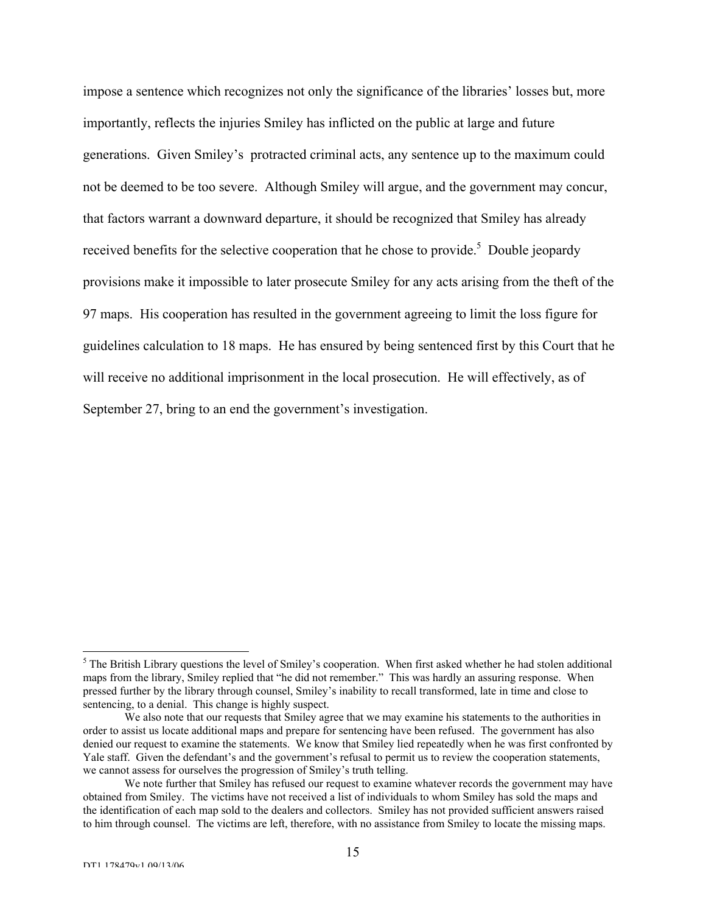impose a sentence which recognizes not only the significance of the libraries' losses but, more importantly, reflects the injuries Smiley has inflicted on the public at large and future generations. Given Smiley's protracted criminal acts, any sentence up to the maximum could not be deemed to be too severe. Although Smiley will argue, and the government may concur, that factors warrant a downward departure, it should be recognized that Smiley has already received benefits for the selective cooperation that he chose to provide.<sup>5</sup> Double jeopardy provisions make it impossible to later prosecute Smiley for any acts arising from the theft of the 97 maps. His cooperation has resulted in the government agreeing to limit the loss figure for guidelines calculation to 18 maps. He has ensured by being sentenced first by this Court that he will receive no additional imprisonment in the local prosecution. He will effectively, as of September 27, bring to an end the government's investigation.

 <sup>5</sup>  $<sup>5</sup>$  The British Library questions the level of Smiley's cooperation. When first asked whether he had stolen additional</sup> maps from the library, Smiley replied that "he did not remember." This was hardly an assuring response. When pressed further by the library through counsel, Smiley's inability to recall transformed, late in time and close to sentencing, to a denial. This change is highly suspect.

We also note that our requests that Smiley agree that we may examine his statements to the authorities in order to assist us locate additional maps and prepare for sentencing have been refused. The government has also denied our request to examine the statements. We know that Smiley lied repeatedly when he was first confronted by Yale staff. Given the defendant's and the government's refusal to permit us to review the cooperation statements, we cannot assess for ourselves the progression of Smiley's truth telling.

We note further that Smiley has refused our request to examine whatever records the government may have obtained from Smiley. The victims have not received a list of individuals to whom Smiley has sold the maps and the identification of each map sold to the dealers and collectors. Smiley has not provided sufficient answers raised to him through counsel. The victims are left, therefore, with no assistance from Smiley to locate the missing maps.